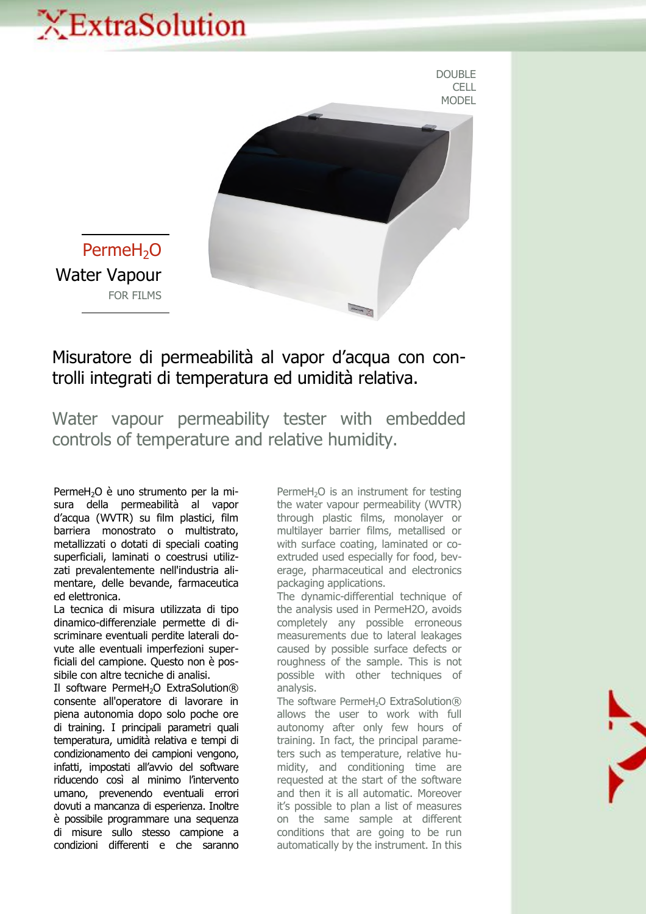## XExtraSolution



DOUBLE

PermeH<sub>2</sub>O Water Vapour FOR FILMS

## Misuratore di permeabilità al vapor d'acqua con controlli integrati di temperatura ed umidità relativa.

Water vapour permeability tester with embedded controls of temperature and relative humidity.

PermeH<sub>2</sub>O è uno strumento per la misura della permeabilità al vapor d'acqua (WVTR) su film plastici, film barriera monostrato o multistrato, metallizzati o dotati di speciali coating superficiali, laminati o coestrusi utilizzati prevalentemente nell'industria alimentare, delle bevande, farmaceutica ed elettronica.

La tecnica di misura utilizzata di tipo dinamico-differenziale permette di discriminare eventuali perdite laterali dovute alle eventuali imperfezioni superficiali del campione. Questo non è possibile con altre tecniche di analisi.

Il software PermeH<sub>2</sub>O ExtraSolution® consente all'operatore di lavorare in piena autonomia dopo solo poche ore di training. I principali parametri quali temperatura, umidità relativa e tempi di condizionamento dei campioni vengono, infatti, impostati all'avvio del software riducendo così al minimo l'intervento umano, prevenendo eventuali errori dovuti a mancanza di esperienza. Inoltre è possibile programmare una sequenza di misure sullo stesso campione a condizioni differenti e che saranno

PermeH<sub>2</sub>O is an instrument for testing the water vapour permeability (WVTR) through plastic films, monolayer or multilayer barrier films, metallised or with surface coating, laminated or coextruded used especially for food, beverage, pharmaceutical and electronics packaging applications.

The dynamic-differential technique of the analysis used in PermeH2O, avoids completely any possible erroneous measurements due to lateral leakages caused by possible surface defects or roughness of the sample. This is not possible with other techniques of analysis.

The software PermeH<sub>2</sub>O ExtraSolution® allows the user to work with full autonomy after only few hours of training. In fact, the principal parameters such as temperature, relative humidity, and conditioning time are requested at the start of the software and then it is all automatic. Moreover it's possible to plan a list of measures on the same sample at different conditions that are going to be run automatically by the instrument. In this